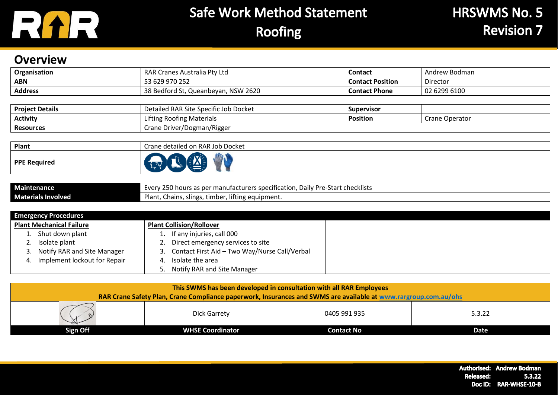

#### **Overview**

| Organisation   | RAR Cranes Australia Pty Ltd<br><b>Contact</b><br>Andrew Bodman |                         |              |
|----------------|-----------------------------------------------------------------|-------------------------|--------------|
| ABN            | 53 629 970 252                                                  | <b>Contact Position</b> | Director     |
| <b>Address</b> | 38 Bedford St, Queanbeyan, NSW 2620                             | <b>Contact Phone</b>    | 02 6299 6100 |

| <b>Project Details</b> | Detailed RAR Site Specific Job Docket<br><b>Supervisor</b> |                 |                |
|------------------------|------------------------------------------------------------|-----------------|----------------|
| <b>Activity</b>        | Lifting Roofing Materials                                  | <b>Position</b> | Crane Operator |
| <b>Resources</b>       | Crane Driver/Dogman/Rigger                                 |                 |                |

| Plant               | Crane detailed on RAR Job Docket |  |  |
|---------------------|----------------------------------|--|--|
| <b>PPE Required</b> |                                  |  |  |

| <b>Maintenance</b>        | 2E<br>. Daily Pre-Start checklists<br>'s as per manufacturers specification, I<br>∠50 hours as<br>-verv |
|---------------------------|---------------------------------------------------------------------------------------------------------|
| <b>Materials Involved</b> | , lifting equipment.<br>Plant,<br>Chains, slings<br>timbel                                              |

|    | <b>Emergency Procedures</b>     |    |                                                  |  |  |  |
|----|---------------------------------|----|--------------------------------------------------|--|--|--|
|    | <b>Plant Mechanical Failure</b> |    | <b>Plant Collision/Rollover</b>                  |  |  |  |
|    | Shut down plant                 |    | 1. If any injuries, call 000                     |  |  |  |
|    | Isolate plant                   |    | 2. Direct emergency services to site             |  |  |  |
|    | Notify RAR and Site Manager     |    | 3. Contact First Aid - Two Way/Nurse Call/Verbal |  |  |  |
| 4. | Implement lockout for Repair    | 4. | Isolate the area                                 |  |  |  |
|    |                                 |    | 5. Notify RAR and Site Manager                   |  |  |  |

| This SWMS has been developed in consultation with all RAR Employees<br>RAR Crane Safety Plan, Crane Compliance paperwork, Insurances and SWMS are available at www.rargroup.com.au/ohs |                         |              |        |  |  |
|----------------------------------------------------------------------------------------------------------------------------------------------------------------------------------------|-------------------------|--------------|--------|--|--|
|                                                                                                                                                                                        | Dick Garrety            | 0405 991 935 | 5.3.22 |  |  |
| Sign Off                                                                                                                                                                               | <b>WHSE Coordinator</b> | Contact No   | Date   |  |  |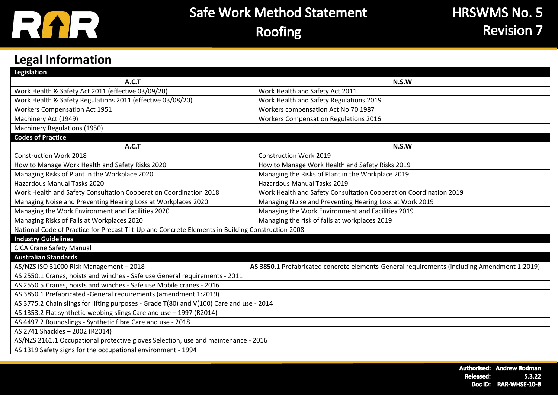

### **Legal Information**

| <b>Legislation</b>                                                                                |                                                                                             |  |  |  |  |
|---------------------------------------------------------------------------------------------------|---------------------------------------------------------------------------------------------|--|--|--|--|
| A.C.T                                                                                             | N.S.W                                                                                       |  |  |  |  |
| Work Health & Safety Act 2011 (effective 03/09/20)                                                | Work Health and Safety Act 2011                                                             |  |  |  |  |
| Work Health & Safety Regulations 2011 (effective 03/08/20)                                        | Work Health and Safety Regulations 2019                                                     |  |  |  |  |
| <b>Workers Compensation Act 1951</b>                                                              | Workers compensation Act No 70 1987                                                         |  |  |  |  |
| Machinery Act (1949)                                                                              | <b>Workers Compensation Regulations 2016</b>                                                |  |  |  |  |
| Machinery Regulations (1950)                                                                      |                                                                                             |  |  |  |  |
| <b>Codes of Practice</b>                                                                          |                                                                                             |  |  |  |  |
| A.C.T                                                                                             | N.S.W                                                                                       |  |  |  |  |
| <b>Construction Work 2018</b>                                                                     | <b>Construction Work 2019</b>                                                               |  |  |  |  |
| How to Manage Work Health and Safety Risks 2020                                                   | How to Manage Work Health and Safety Risks 2019                                             |  |  |  |  |
| Managing Risks of Plant in the Workplace 2020                                                     | Managing the Risks of Plant in the Workplace 2019                                           |  |  |  |  |
| <b>Hazardous Manual Tasks 2020</b>                                                                | <b>Hazardous Manual Tasks 2019</b>                                                          |  |  |  |  |
| Work Health and Safety Consultation Cooperation Coordination 2018                                 | Work Health and Safety Consultation Cooperation Coordination 2019                           |  |  |  |  |
| Managing Noise and Preventing Hearing Loss at Workplaces 2020                                     | Managing Noise and Preventing Hearing Loss at Work 2019                                     |  |  |  |  |
| Managing the Work Environment and Facilities 2020                                                 | Managing the Work Environment and Facilities 2019                                           |  |  |  |  |
| Managing Risks of Falls at Workplaces 2020                                                        | Managing the risk of falls at workplaces 2019                                               |  |  |  |  |
| National Code of Practice for Precast Tilt-Up and Concrete Elements in Building Construction 2008 |                                                                                             |  |  |  |  |
| <b>Industry Guidelines</b>                                                                        |                                                                                             |  |  |  |  |
| <b>CICA Crane Safety Manual</b>                                                                   |                                                                                             |  |  |  |  |
| <b>Australian Standards</b>                                                                       |                                                                                             |  |  |  |  |
| AS/NZS ISO 31000 Risk Management - 2018                                                           | AS 3850.1 Prefabricated concrete elements-General requirements (including Amendment 1:2019) |  |  |  |  |
| AS 2550.1 Cranes, hoists and winches - Safe use General requirements - 2011                       |                                                                                             |  |  |  |  |
| AS 2550.5 Cranes, hoists and winches - Safe use Mobile cranes - 2016                              |                                                                                             |  |  |  |  |
| AS 3850.1 Prefabricated -General requirements (amendment 1:2019)                                  |                                                                                             |  |  |  |  |
| AS 3775.2 Chain slings for lifting purposes - Grade T(80) and V(100) Care and use - 2014          |                                                                                             |  |  |  |  |
| AS 1353.2 Flat synthetic-webbing slings Care and use - 1997 (R2014)                               |                                                                                             |  |  |  |  |
| AS 4497.2 Roundslings - Synthetic fibre Care and use - 2018                                       |                                                                                             |  |  |  |  |
| AS 2741 Shackles - 2002 (R2014)                                                                   |                                                                                             |  |  |  |  |
| AS/NZS 2161.1 Occupational protective gloves Selection, use and maintenance - 2016                |                                                                                             |  |  |  |  |
| AS 1319 Safety signs for the occupational environment - 1994                                      |                                                                                             |  |  |  |  |
|                                                                                                   |                                                                                             |  |  |  |  |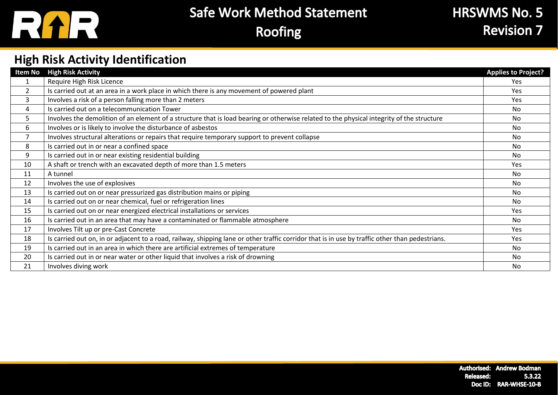

### **HRSWMS No. 5 Revision 7**

### **High Risk Activity Identification**

| <b>Item No</b> | <b>High Risk Activity</b>                                                                                                                       | <b>Applies to Project?</b> |
|----------------|-------------------------------------------------------------------------------------------------------------------------------------------------|----------------------------|
| 1              | Require High Risk Licence                                                                                                                       | <b>Yes</b>                 |
| $\overline{2}$ | Is carried out at an area in a work place in which there is any movement of powered plant                                                       | Yes                        |
| 3              | Involves a risk of a person falling more than 2 meters                                                                                          | <b>Yes</b>                 |
| 4              | Is carried out on a telecommunication Tower                                                                                                     | No.                        |
| 5              | Involves the demolition of an element of a structure that is load bearing or otherwise related to the physical integrity of the structure       | No.                        |
| 6              | Involves or is likely to involve the disturbance of asbestos                                                                                    | No.                        |
|                | Involves structural alterations or repairs that require temporary support to prevent collapse                                                   | No.                        |
| 8              | Is carried out in or near a confined space                                                                                                      | No.                        |
| 9              | Is carried out in or near existing residential building                                                                                         | No.                        |
| 10             | A shaft or trench with an excavated depth of more than 1.5 meters                                                                               | Yes                        |
| 11             | A tunnel                                                                                                                                        | No.                        |
| 12             | Involves the use of explosives                                                                                                                  | No.                        |
| 13             | Is carried out on or near pressurized gas distribution mains or piping                                                                          | <b>No</b>                  |
| 14             | Is carried out on or near chemical, fuel or refrigeration lines                                                                                 | No                         |
| 15             | Is carried out on or near energized electrical installations or services                                                                        | <b>Yes</b>                 |
| 16             | Is carried out in an area that may have a contaminated or flammable atmosphere                                                                  | No.                        |
| 17             | Involves Tilt up or pre-Cast Concrete                                                                                                           | Yes.                       |
| 18             | Is carried out on, in or adjacent to a road, railway, shipping lane or other traffic corridor that is in use by traffic other than pedestrians. | Yes                        |
| 19             | Is carried out in an area in which there are artificial extremes of temperature                                                                 | No.                        |
| 20             | Is carried out in or near water or other liquid that involves a risk of drowning                                                                | No                         |
| 21             | Involves diving work                                                                                                                            | No.                        |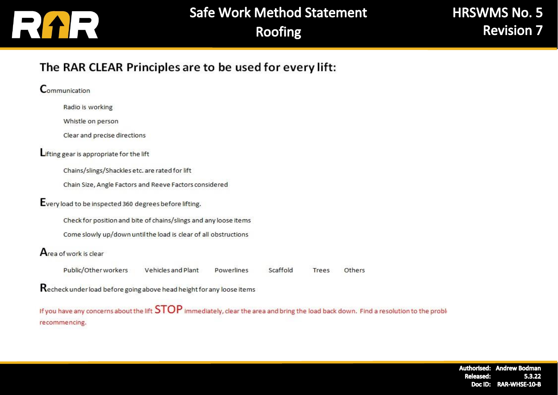

Others

#### The RAR CLEAR Principles are to be used for every lift:

Communication Radio is working Whistle on person Clear and precise directions Lifting gear is appropriate for the lift Chains/slings/Shackles etc. are rated for lift Chain Size, Angle Factors and Reeve Factors considered Every load to be inspected 360 degrees before lifting. Check for position and bite of chains/slings and any loose items Come slowly up/down until the load is clear of all obstructions Area of work is clear Public/Other workers Vehicles and Plant Powerlines Scaffold Trees Recheck under load before going above head height for any loose items If you have any concerns about the lift  $STOP$  immediately, clear the area and bring the load back down. Find a resolution to the proble

recommencing.

Authorised: Andrew Bodman 5.3.22 Released: Doc ID: RAR-WHSE-10-B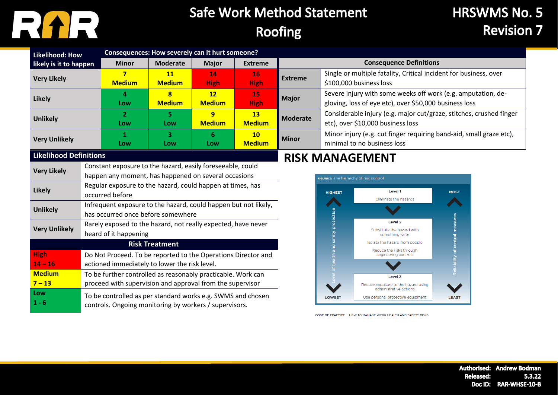

### **HRSWMS No. 5 Revision 7**

| <b>Likelihood: How</b>        |                                                                                                                       |                                                                 | Consequences: How severely can it hurt someone? |               |                |                                                                              |                                                               |                                                                     |                                 |  |
|-------------------------------|-----------------------------------------------------------------------------------------------------------------------|-----------------------------------------------------------------|-------------------------------------------------|---------------|----------------|------------------------------------------------------------------------------|---------------------------------------------------------------|---------------------------------------------------------------------|---------------------------------|--|
| likely is it to happen        |                                                                                                                       | <b>Minor</b>                                                    | <b>Moderate</b>                                 | <b>Major</b>  | <b>Extreme</b> |                                                                              |                                                               | <b>Consequence Definitions</b>                                      |                                 |  |
| <b>Very Likely</b>            |                                                                                                                       | 7                                                               | <b>11</b>                                       | 14            | 16             | <b>Extreme</b>                                                               |                                                               | Single or multiple fatality, Critical incident for business, over   |                                 |  |
|                               |                                                                                                                       | <b>Medium</b>                                                   | <b>Medium</b>                                   | <b>High</b>   | <b>High</b>    |                                                                              |                                                               | \$100,000 business loss                                             |                                 |  |
| <b>Likely</b>                 |                                                                                                                       | 4                                                               | 8                                               | 12            | 15             | Severe injury with some weeks off work (e.g. amputation, de-<br><b>Major</b> |                                                               |                                                                     |                                 |  |
|                               |                                                                                                                       | Low                                                             | <b>Medium</b>                                   | <b>Medium</b> | <b>High</b>    |                                                                              |                                                               | gloving, loss of eye etc), over \$50,000 business loss              |                                 |  |
| <b>Unlikely</b>               |                                                                                                                       | $\overline{2}$                                                  | 5.                                              | 9             | <b>13</b>      | <b>Moderate</b>                                                              |                                                               | Considerable injury (e.g. major cut/graze, stitches, crushed finger |                                 |  |
|                               |                                                                                                                       | Low                                                             | Low                                             | <b>Medium</b> | <b>Medium</b>  |                                                                              |                                                               | etc), over \$10,000 business loss                                   |                                 |  |
| <b>Very Unlikely</b>          |                                                                                                                       | 1                                                               | 3                                               | 6             | 10             | <b>Minor</b>                                                                 |                                                               | Minor injury (e.g. cut finger requiring band-aid, small graze etc), |                                 |  |
|                               |                                                                                                                       | Low                                                             | Low                                             | Low           | <b>Medium</b>  |                                                                              |                                                               | minimal to no business loss                                         |                                 |  |
| <b>Likelihood Definitions</b> |                                                                                                                       |                                                                 |                                                 |               |                |                                                                              |                                                               | <b>RISK MANAGEMENT</b>                                              |                                 |  |
| <b>Very Likely</b>            |                                                                                                                       | Constant exposure to the hazard, easily foreseeable, could      |                                                 |               |                |                                                                              |                                                               |                                                                     |                                 |  |
|                               |                                                                                                                       | happen any moment, has happened on several occasions            |                                                 |               |                |                                                                              | FIGURE 2: The hierarchy of risk control                       |                                                                     |                                 |  |
| <b>Likely</b>                 |                                                                                                                       | Regular exposure to the hazard, could happen at times, has      |                                                 |               |                |                                                                              |                                                               | Level 1                                                             |                                 |  |
|                               |                                                                                                                       | occurred before                                                 |                                                 |               |                |                                                                              | <b>HIGHEST</b>                                                | Eliminate the hazards                                               | <b>MOST</b>                     |  |
| <b>Unlikely</b>               |                                                                                                                       | Infrequent exposure to the hazard, could happen but not likely, |                                                 |               |                |                                                                              |                                                               |                                                                     |                                 |  |
|                               |                                                                                                                       | has occurred once before somewhere                              |                                                 |               |                | protection                                                                   |                                                               |                                                                     |                                 |  |
| <b>Very Unlikely</b>          |                                                                                                                       | Rarely exposed to the hazard, not really expected, have never   |                                                 |               |                |                                                                              |                                                               | Level <sub>2</sub><br>Substitute the hazard with                    | Reliability of control measures |  |
|                               |                                                                                                                       | heard of it happening                                           |                                                 |               |                |                                                                              | safety                                                        | something safer                                                     |                                 |  |
|                               |                                                                                                                       |                                                                 | <b>Risk Treatment</b>                           |               |                |                                                                              |                                                               | Isolate the hazard from people<br>Reduce the risks through          |                                 |  |
| <b>High</b>                   | Do Not Proceed. To be reported to the Operations Director and                                                         |                                                                 |                                                 |               | alth and       | engineering controls                                                         |                                                               |                                                                     |                                 |  |
| $14 - 16$                     |                                                                                                                       | actioned immediately to lower the risk level.                   |                                                 |               |                |                                                                              |                                                               |                                                                     |                                 |  |
| <b>Medium</b>                 | To be further controlled as reasonably practicable. Work can                                                          |                                                                 |                                                 |               |                | Level 3                                                                      |                                                               |                                                                     |                                 |  |
| $7 - 13$                      |                                                                                                                       | proceed with supervision and approval from the supervisor       |                                                 |               |                |                                                                              | Reduce exposure to the hazard using<br>administrative actions |                                                                     |                                 |  |
| Low                           |                                                                                                                       |                                                                 |                                                 |               |                |                                                                              | <b>LOWEST</b>                                                 | Use personal protective equipment                                   | <b>LEAST</b>                    |  |
| $1 - 6$                       | To be controlled as per standard works e.g. SWMS and chosen<br>controls. Ongoing monitoring by workers / supervisors. |                                                                 |                                                 |               |                |                                                                              |                                                               |                                                                     |                                 |  |

CODE OF PRACTICE | HOW TO MANAGE WORK HEALTH AND SAFETY RISKS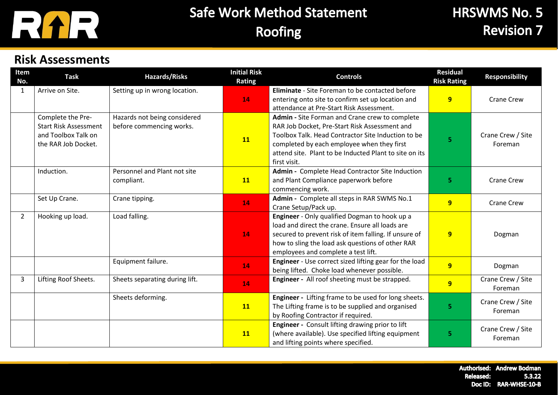

### **Risk Assessments**

| Item<br>No.    | <b>Task</b>                                                                                     | <b>Hazards/Risks</b>                                     | <b>Initial Risk</b><br><b>Rating</b> | <b>Controls</b>                                                                                                                                                                                                                                                               | <b>Residual</b><br><b>Risk Rating</b> | <b>Responsibility</b>        |
|----------------|-------------------------------------------------------------------------------------------------|----------------------------------------------------------|--------------------------------------|-------------------------------------------------------------------------------------------------------------------------------------------------------------------------------------------------------------------------------------------------------------------------------|---------------------------------------|------------------------------|
| 1              | Arrive on Site.                                                                                 | Setting up in wrong location.                            | 14                                   | <b>Eliminate</b> - Site Foreman to be contacted before<br>entering onto site to confirm set up location and<br>attendance at Pre-Start Risk Assessment.                                                                                                                       | 9                                     | <b>Crane Crew</b>            |
|                | Complete the Pre-<br><b>Start Risk Assessment</b><br>and Toolbox Talk on<br>the RAR Job Docket. | Hazards not being considered<br>before commencing works. | <b>11</b>                            | Admin - Site Forman and Crane crew to complete<br>RAR Job Docket, Pre-Start Risk Assessment and<br>Toolbox Talk. Head Contractor Site Induction to be<br>completed by each employee when they first<br>attend site. Plant to be Inducted Plant to site on its<br>first visit. | 5                                     | Crane Crew / Site<br>Foreman |
|                | Induction.                                                                                      | Personnel and Plant not site<br>compliant.               | 11                                   | Admin - Complete Head Contractor Site Induction<br>and Plant Compliance paperwork before<br>commencing work.                                                                                                                                                                  | 5                                     | <b>Crane Crew</b>            |
|                | Set Up Crane.                                                                                   | Crane tipping.                                           | 14                                   | Admin - Complete all steps in RAR SWMS No.1<br>Crane Setup/Pack up.                                                                                                                                                                                                           | 9                                     | <b>Crane Crew</b>            |
| $\overline{2}$ | Hooking up load.                                                                                | Load falling.                                            | 14                                   | Engineer - Only qualified Dogman to hook up a<br>load and direct the crane. Ensure all loads are<br>secured to prevent risk of item falling. If unsure of<br>how to sling the load ask questions of other RAR<br>employees and complete a test lift.                          | 9                                     | Dogman                       |
|                |                                                                                                 | Equipment failure.                                       | 14                                   | Engineer - Use correct sized lifting gear for the load<br>being lifted. Choke load whenever possible.                                                                                                                                                                         | 9                                     | Dogman                       |
| $\overline{3}$ | Lifting Roof Sheets.                                                                            | Sheets separating during lift.                           | 14                                   | Engineer - All roof sheeting must be strapped.                                                                                                                                                                                                                                | 9                                     | Crane Crew / Site<br>Foreman |
|                |                                                                                                 | Sheets deforming.                                        | <b>11</b>                            | Engineer - Lifting frame to be used for long sheets.<br>The Lifting frame is to be supplied and organised<br>by Roofing Contractor if required.                                                                                                                               | 5                                     | Crane Crew / Site<br>Foreman |
|                |                                                                                                 |                                                          | <b>11</b>                            | Engineer - Consult lifting drawing prior to lift<br>(where available). Use specified lifting equipment<br>and lifting points where specified.                                                                                                                                 | 5                                     | Crane Crew / Site<br>Foreman |

Authorised: Andrew Bodman **Released:** 5.3.22 Doc ID: RAR-WHSE-10-B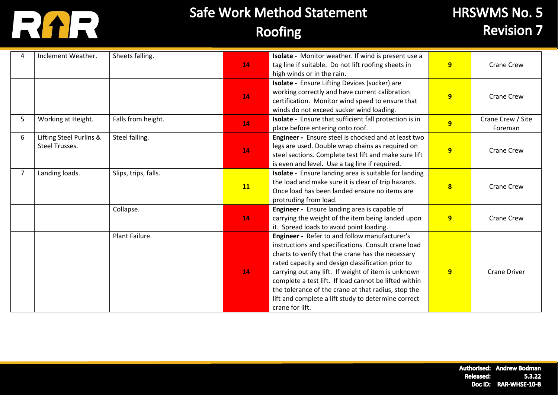

## **HRSWMS No. 5 Revision 7**

|                | Inclement Weather.                               | Sheets falling.      | 14        | Isolate - Monitor weather. If wind is present use a<br>tag line if suitable. Do not lift roofing sheets in<br>high winds or in the rain.                                                                                                                                                                                                                                                                                                                        | 9                       | <b>Crane Crew</b>            |
|----------------|--------------------------------------------------|----------------------|-----------|-----------------------------------------------------------------------------------------------------------------------------------------------------------------------------------------------------------------------------------------------------------------------------------------------------------------------------------------------------------------------------------------------------------------------------------------------------------------|-------------------------|------------------------------|
|                |                                                  |                      | 14        | Isolate - Ensure Lifting Devices (sucker) are<br>working correctly and have current calibration<br>certification. Monitor wind speed to ensure that<br>winds do not exceed sucker wind loading.                                                                                                                                                                                                                                                                 | 9                       | <b>Crane Crew</b>            |
| 5              | Working at Height.                               | Falls from height.   | 14        | Isolate - Ensure that sufficient fall protection is in<br>place before entering onto roof.                                                                                                                                                                                                                                                                                                                                                                      | 9                       | Crane Crew / Site<br>Foreman |
| 6              | Lifting Steel Purlins &<br><b>Steel Trusses.</b> | Steel falling.       | 14        | Engineer - Ensure steel is chocked and at least two<br>legs are used. Double wrap chains as required on<br>steel sections. Complete test lift and make sure lift<br>is even and level. Use a tag line if required.                                                                                                                                                                                                                                              | $\overline{9}$          | <b>Crane Crew</b>            |
| $\overline{7}$ | Landing loads.                                   | Slips, trips, falls. | <b>11</b> | Isolate - Ensure landing area is suitable for landing<br>the load and make sure it is clear of trip hazards.<br>Once load has been landed ensure no items are<br>protruding from load.                                                                                                                                                                                                                                                                          | $\overline{\mathbf{8}}$ | <b>Crane Crew</b>            |
|                |                                                  | Collapse.            | 14        | Engineer - Ensure landing area is capable of<br>carrying the weight of the item being landed upon<br>it. Spread loads to avoid point loading.                                                                                                                                                                                                                                                                                                                   | $\overline{9}$          | <b>Crane Crew</b>            |
|                |                                                  | Plant Failure.       | 14        | Engineer - Refer to and follow manufacturer's<br>instructions and specifications. Consult crane load<br>charts to verify that the crane has the necessary<br>rated capacity and design classification prior to<br>carrying out any lift. If weight of item is unknown<br>complete a test lift. If load cannot be lifted within<br>the tolerance of the crane at that radius, stop the<br>lift and complete a lift study to determine correct<br>crane for lift. | 9                       | <b>Crane Driver</b>          |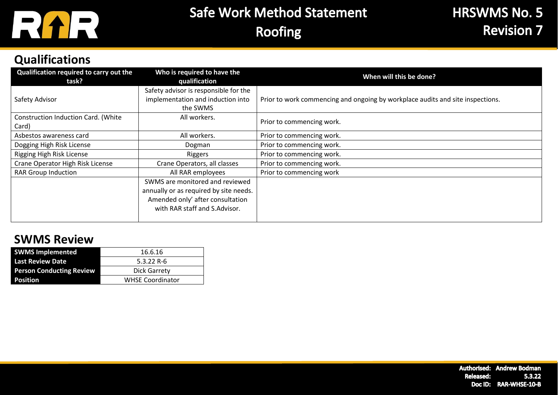

### **Qualifications**

| Qualification required to carry out the<br>task? | Who is required to have the<br>qualification                               | When will this be done?                                                        |
|--------------------------------------------------|----------------------------------------------------------------------------|--------------------------------------------------------------------------------|
| Safety Advisor                                   | Safety advisor is responsible for the<br>implementation and induction into | Prior to work commencing and ongoing by workplace audits and site inspections. |
|                                                  | the SWMS                                                                   |                                                                                |
| Construction Induction Card. (White<br>Card)     | All workers.                                                               | Prior to commencing work.                                                      |
| Asbestos awareness card                          | All workers.                                                               | Prior to commencing work.                                                      |
| Dogging High Risk License                        | Dogman                                                                     | Prior to commencing work.                                                      |
| Rigging High Risk License                        | Riggers                                                                    | Prior to commencing work.                                                      |
| Crane Operator High Risk License                 | Crane Operators, all classes                                               | Prior to commencing work.                                                      |
| <b>RAR Group Induction</b>                       | All RAR employees                                                          | Prior to commencing work                                                       |
|                                                  | SWMS are monitored and reviewed                                            |                                                                                |
|                                                  | annually or as required by site needs.                                     |                                                                                |
|                                                  | Amended only' after consultation                                           |                                                                                |
|                                                  | with RAR staff and S.Advisor.                                              |                                                                                |
|                                                  |                                                                            |                                                                                |

#### **SWMS Review**

| <b>SWMS Implemented</b>         | 16.6.16                 |  |  |
|---------------------------------|-------------------------|--|--|
| <b>Last Review Date</b>         | $5.3.22R - 6$           |  |  |
| <b>Person Conducting Review</b> | Dick Garrety            |  |  |
| <b>Position</b>                 | <b>WHSE Coordinator</b> |  |  |